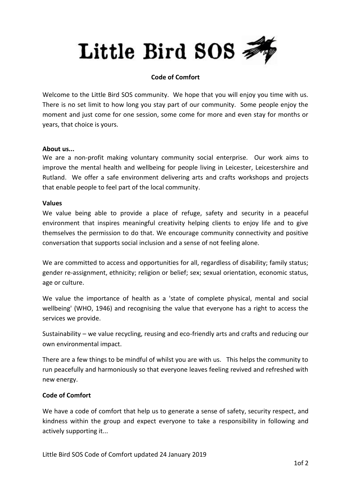# Little Bird SOS

## **Code of Comfort**

Welcome to the Little Bird SOS community. We hope that you will enjoy you time with us. There is no set limit to how long you stay part of our community. Some people enjoy the moment and just come for one session, some come for more and even stay for months or years, that choice is yours.

### **About us...**

We are a non-profit making voluntary community social enterprise. Our work aims to improve the mental health and wellbeing for people living in Leicester, Leicestershire and Rutland. We offer a safe environment delivering arts and crafts workshops and projects that enable people to feel part of the local community.

#### **Values**

We value being able to provide a place of refuge, safety and security in a peaceful environment that inspires meaningful creativity helping clients to enjoy life and to give themselves the permission to do that. We encourage community connectivity and positive conversation that supports social inclusion and a sense of not feeling alone.

We are committed to access and opportunities for all, regardless of disability; family status; gender re-assignment, ethnicity; religion or belief; sex; sexual orientation, economic status, age or culture.

We value the importance of health as a 'state of complete physical, mental and social wellbeing' (WHO, 1946) and recognising the value that everyone has a right to access the services we provide.

Sustainability – we value recycling, reusing and eco-friendly arts and crafts and reducing our own environmental impact.

There are a few things to be mindful of whilst you are with us. This helps the community to run peacefully and harmoniously so that everyone leaves feeling revived and refreshed with new energy.

## **Code of Comfort**

We have a code of comfort that help us to generate a sense of safety, security respect, and kindness within the group and expect everyone to take a responsibility in following and actively supporting it...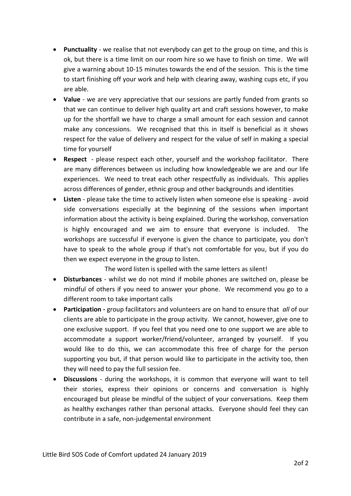- **Punctuality** we realise that not everybody can get to the group on time, and this is ok, but there is a time limit on our room hire so we have to finish on time. We will give a warning about 10-15 minutes towards the end of the session. This is the time to start finishing off your work and help with clearing away, washing cups etc, if you are able.
- **Value** we are very appreciative that our sessions are partly funded from grants so that we can continue to deliver high quality art and craft sessions however, to make up for the shortfall we have to charge a small amount for each session and cannot make any concessions. We recognised that this in itself is beneficial as it shows respect for the value of delivery and respect for the value of self in making a special time for yourself
- **Respect** please respect each other, yourself and the workshop facilitator. There are many differences between us including how knowledgeable we are and our life experiences. We need to treat each other respectfully as individuals. This applies across differences of gender, ethnic group and other backgrounds and identities
- **Listen** please take the time to actively listen when someone else is speaking avoid side conversations especially at the beginning of the sessions when important information about the activity is being explained. During the workshop, conversation is highly encouraged and we aim to ensure that everyone is included. The workshops are successful if everyone is given the chance to participate, you don't have to speak to the whole group if that's not comfortable for you, but if you do then we expect everyone in the group to listen.

The word listen is spelled with the same letters as silent!

- **Disturbances** whilst we do not mind if mobile phones are switched on, please be mindful of others if you need to answer your phone. We recommend you go to a different room to take important calls
- **Participation -** group facilitators and volunteers are on hand to ensure that *all* of our clients are able to participate in the group activity. We cannot, however, give one to one exclusive support. If you feel that you need one to one support we are able to accommodate a support worker/friend/volunteer, arranged by yourself. If you would like to do this, we can accommodate this free of charge for the person supporting you but, if that person would like to participate in the activity too, then they will need to pay the full session fee.
- **Discussions** during the workshops, it is common that everyone will want to tell their stories, express their opinions or concerns and conversation is highly encouraged but please be mindful of the subject of your conversations. Keep them as healthy exchanges rather than personal attacks. Everyone should feel they can contribute in a safe, non-judgemental environment